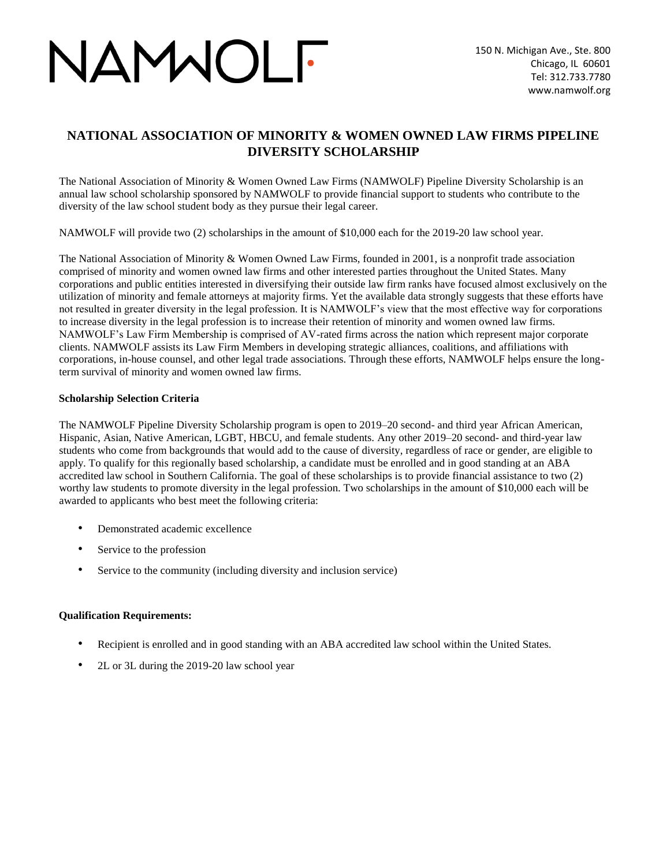# VAMMOLF

### **NATIONAL ASSOCIATION OF MINORITY & WOMEN OWNED LAW FIRMS PIPELINE DIVERSITY SCHOLARSHIP**

The National Association of Minority & Women Owned Law Firms (NAMWOLF) Pipeline Diversity Scholarship is an annual law school scholarship sponsored by NAMWOLF to provide financial support to students who contribute to the diversity of the law school student body as they pursue their legal career.

NAMWOLF will provide two (2) scholarships in the amount of \$10,000 each for the 2019-20 law school year.

The National Association of Minority & Women Owned Law Firms, founded in 2001, is a nonprofit trade association comprised of minority and women owned law firms and other interested parties throughout the United States. Many corporations and public entities interested in diversifying their outside law firm ranks have focused almost exclusively on the utilization of minority and female attorneys at majority firms. Yet the available data strongly suggests that these efforts have not resulted in greater diversity in the legal profession. It is NAMWOLF's view that the most effective way for corporations to increase diversity in the legal profession is to increase their retention of minority and women owned law firms. NAMWOLF's Law Firm Membership is comprised of AV-rated firms across the nation which represent major corporate clients. NAMWOLF assists its Law Firm Members in developing strategic alliances, coalitions, and affiliations with corporations, in-house counsel, and other legal trade associations. Through these efforts, NAMWOLF helps ensure the longterm survival of minority and women owned law firms.

#### **Scholarship Selection Criteria**

The NAMWOLF Pipeline Diversity Scholarship program is open to 2019–20 second- and third year African American, Hispanic, Asian, Native American, LGBT, HBCU, and female students. Any other 2019–20 second- and third-year law students who come from backgrounds that would add to the cause of diversity, regardless of race or gender, are eligible to apply. To qualify for this regionally based scholarship, a candidate must be enrolled and in good standing at an ABA accredited law school in Southern California. The goal of these scholarships is to provide financial assistance to two (2) worthy law students to promote diversity in the legal profession. Two scholarships in the amount of \$10,000 each will be awarded to applicants who best meet the following criteria:

- Demonstrated academic excellence
- Service to the profession
- Service to the community (including diversity and inclusion service)

#### **Qualification Requirements:**

- Recipient is enrolled and in good standing with an ABA accredited law school within the United States.
- 2L or 3L during the 2019-20 law school year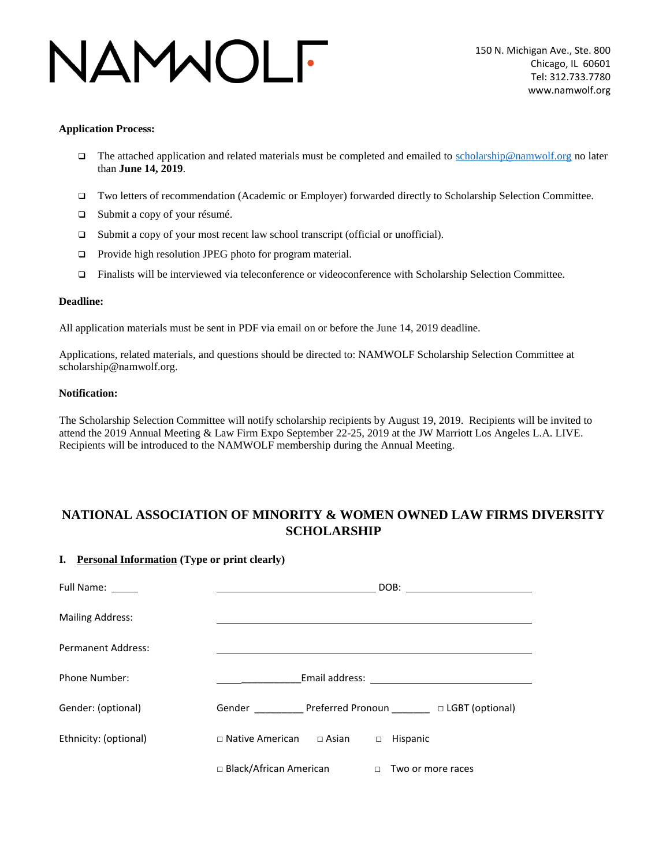## VAMMOLF

#### **Application Process:**

- The attached application and related materials must be completed and emailed to scholarship@namwolf.org no later than **June 14, 2019**.
- Two letters of recommendation (Academic or Employer) forwarded directly to Scholarship Selection Committee.
- □ Submit a copy of your résumé.
- □ Submit a copy of your most recent law school transcript (official or unofficial).
- □ Provide high resolution JPEG photo for program material.
- Finalists will be interviewed via teleconference or videoconference with Scholarship Selection Committee.

#### **Deadline:**

All application materials must be sent in PDF via email on or before the June 14, 2019 deadline.

Applications, related materials, and questions should be directed to: NAMWOLF Scholarship Selection Committee at scholarship@namwolf.org.

#### **Notification:**

The Scholarship Selection Committee will notify scholarship recipients by August 19, 2019. Recipients will be invited to attend the 2019 Annual Meeting & Law Firm Expo September 22-25, 2019 at the JW Marriott Los Angeles L.A. LIVE. Recipients will be introduced to the NAMWOLF membership during the Annual Meeting.

### **NATIONAL ASSOCIATION OF MINORITY & WOMEN OWNED LAW FIRMS DIVERSITY SCHOLARSHIP**

#### **I. Personal Information (Type or print clearly)**

| <b>Full Name:</b>         |                                           | DOB:<br>the contract of the contract of the contract of the contract of the contract of |
|---------------------------|-------------------------------------------|-----------------------------------------------------------------------------------------|
| <b>Mailing Address:</b>   |                                           |                                                                                         |
| <b>Permanent Address:</b> |                                           |                                                                                         |
| <b>Phone Number:</b>      |                                           |                                                                                         |
| Gender: (optional)        | Gender Preferred Pronoun DLGBT (optional) |                                                                                         |
| Ethnicity: (optional)     | $\Box$ Native American<br>$\Box$ Asian    | Hispanic<br>$\Box$                                                                      |
|                           | $\Box$ Black/African American             | Two or more races<br>$\Box$                                                             |